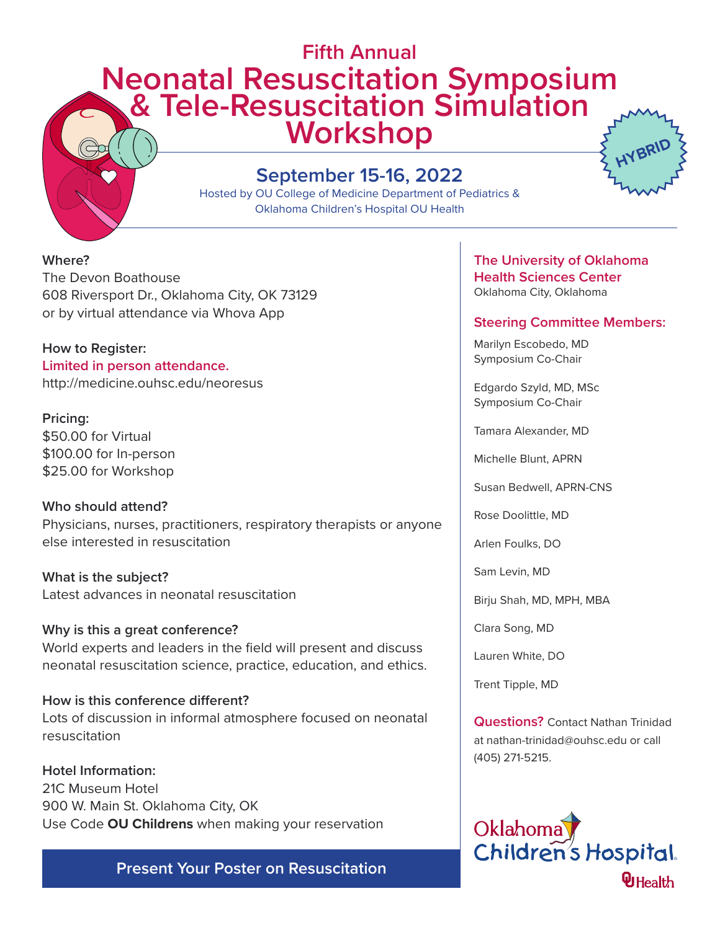# **Fifth Annual Neonatal Resuscitation Symposium & Tele-Resuscitation Simulation Workshop HYBRID**

## **September 15-16, 2022**

Hosted by OU College of Medicine Department of Pediatrics & Oklahoma Children's Hospital OU Health

**Where?** The Devon Boathouse 608 Riversport Dr., Oklahoma City, OK 73129 or by virtual attendance via Whova App

**How to Register: Limited in person attendance.** http://medicine.ouhsc.edu/neoresus

**Pricing:** \$50.00 for Virtual \$100.00 for In-person \$25.00 for Workshop

**Who should attend?** Physicians, nurses, practitioners, respiratory therapists or anyone else interested in resuscitation

**What is the subject?** Latest advances in neonatal resuscitation

**Why is this a great conference?** World experts and leaders in the field will present and discuss neonatal resuscitation science, practice, education, and ethics.

**How is this conference different?** Lots of discussion in informal atmosphere focused on neonatal resuscitation

**Hotel Information:** 21C Museum Hotel 900 W. Main St. Oklahoma City, OK Use Code **OU Childrens** when making your reservation

**Present Your Poster on Resuscitation**

## **The University of Oklahoma Health Sciences Center** Oklahoma City, Oklahoma

## **Steering Committee Members:**

Marilyn Escobedo, MD Symposium Co-Chair

Edgardo Szyld, MD, MSc Symposium Co-Chair

Tamara Alexander, MD

Michelle Blunt, APRN

Susan Bedwell, APRN-CNS

Rose Doolittle, MD

Arlen Foulks, DO

Sam Levin, MD

Birju Shah, MD, MPH, MBA

Clara Song, MD

Lauren White, DO

Trent Tipple, MD

**Questions?** Contact Nathan Trinidad at nathan-trinidad@ouhsc.edu or call (405) 271-5215.